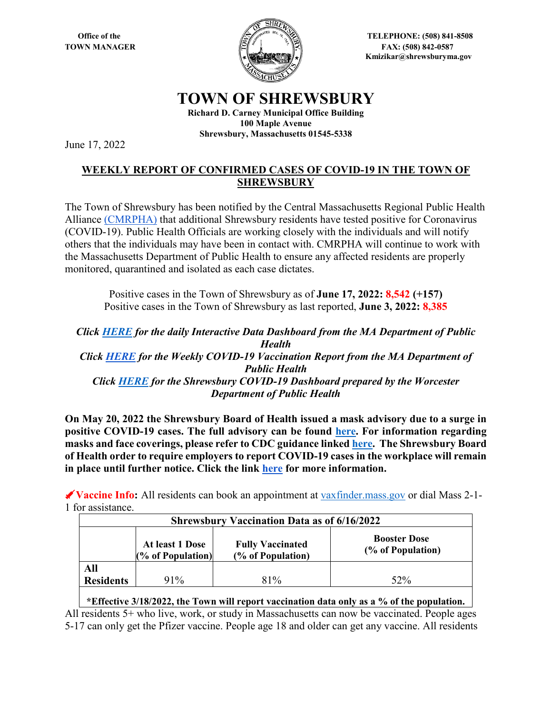

**Office of the Server Street Algebra 2008 12508 CHECPHONE: (508) 841-8508 TOWN MANAGER** FAX: (508) 842-0587  **Kmizikar@shrewsburyma.gov**

## **TOWN OF SHREWSBURY**

**Richard D. Carney Municipal Office Building 100 Maple Avenue Shrewsbury, Massachusetts 01545-5338**

June 17, 2022

## **WEEKLY REPORT OF CONFIRMED CASES OF COVID-19 IN THE TOWN OF SHREWSBURY**

The Town of Shrewsbury has been notified by the Central Massachusetts Regional Public Health Alliance [\(CMRPHA\)](http://www.worcesterma.gov/public-health/regional-public-health) that additional Shrewsbury residents have tested positive for Coronavirus (COVID-19). Public Health Officials are working closely with the individuals and will notify others that the individuals may have been in contact with. CMRPHA will continue to work with the Massachusetts Department of Public Health to ensure any affected residents are properly monitored, quarantined and isolated as each case dictates.

Positive cases in the Town of Shrewsbury as of **June 17, 2022: 8,542 (+157)** Positive cases in the Town of Shrewsbury as last reported, **June 3, 2022: 8,385** 

*Click [HERE](https://www.mass.gov/info-details/covid-19-response-reporting#covid-19-interactive-data-dashboard-) for the daily Interactive Data Dashboard from the MA Department of Public Health Click [HERE](https://www.mass.gov/doc/weekly-covid-19-vaccination-report-june-16-2022/download) for the Weekly COVID-19 Vaccination Report from the MA Department of Public Health Click [HERE](https://public.tableau.com/app/profile/cityofworcesterma.innovationoffice/viz/COVIDDashboardv2_1-Shrewsbury/ShrewsburyCOVID-19Dashboard) for the Shrewsbury COVID-19 Dashboard prepared by the Worcester Department of Public Health*

**On May 20, 2022 the Shrewsbury Board of Health issued a mask advisory due to a surge in positive COVID-19 cases. The full advisory can be found [here.](https://shrewsburyma.gov/DocumentCenter/View/11682/Shrewsbury-BOH-Mask-Advisory-05-20-22-PDF) For information regarding masks and face coverings, please refer to CDC guidance linke[d here.](https://www.cdc.gov/coronavirus/2019-nCoV/index.html) The Shrewsbury Board of Health order to require employers to report COVID-19 cases in the workplace will remain in place until further notice. Click the link [here](https://shrewsburyma.gov/CivicAlerts.aspx?AID=6209) for more information.** 

**Vaccine Info:** All residents can book an appointment at [vaxfinder.mass.gov](https://www.mass.gov/covid-19-vaccine?n) or dial Mass 2-1- 1 for assistance.

| <b>Shrewsbury Vaccination Data as of 6/16/2022</b> |                                      |                                              |                                          |  |  |  |
|----------------------------------------------------|--------------------------------------|----------------------------------------------|------------------------------------------|--|--|--|
|                                                    | At least 1 Dose<br>(% of Population) | <b>Fully Vaccinated</b><br>(% of Population) | <b>Booster Dose</b><br>(% of Population) |  |  |  |
| All                                                |                                      |                                              |                                          |  |  |  |
| <b>Residents</b>                                   | 91%                                  | 81%                                          | 52%                                      |  |  |  |

## **\*Effective 3/18/2022, the Town will report vaccination data only as a % of the population.**

All residents 5+ who live, work, or study in Massachusetts can now be vaccinated. People ages 5-17 can only get the Pfizer vaccine. People age 18 and older can get any vaccine. All residents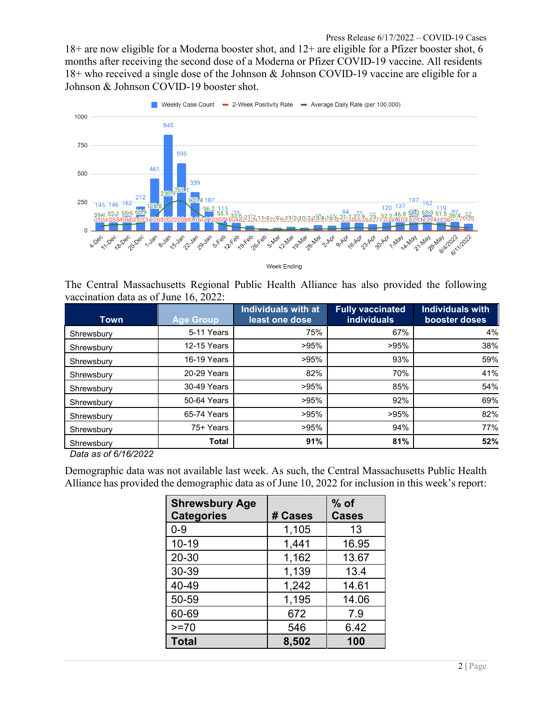18+ are now eligible for a Moderna booster shot, and 12+ are eligible for a Pfizer booster shot, 6 months after receiving the second dose of a Moderna or Pfizer COVID-19 vaccine. All residents 18+ who received a single dose of the Johnson & Johnson COVID-19 vaccine are eligible for a Johnson & Johnson COVID-19 booster shot.



Week Ending

The Central Massachusetts Regional Public Health Alliance has also provided the following vaccination data as of June 16, 2022:

| <b>Town</b> | <b>Age Group</b> | <b>Individuals with at</b><br>least one dose | <b>Fully vaccinated</b><br><b>individuals</b> | <b>Individuals with</b><br>booster doses |
|-------------|------------------|----------------------------------------------|-----------------------------------------------|------------------------------------------|
| Shrewsbury  | 5-11 Years       | 75%                                          | 67%                                           | 4%                                       |
| Shrewsbury  | 12-15 Years      | >95%                                         | >95%                                          | 38%                                      |
| Shrewsbury  | 16-19 Years      | >95%                                         | 93%                                           | 59%                                      |
| Shrewsbury  | 20-29 Years      | 82%                                          | 70%                                           | 41%                                      |
| Shrewsbury  | 30-49 Years      | >95%                                         | 85%                                           | 54%                                      |
| Shrewsbury  | 50-64 Years      | >95%                                         | 92%                                           | 69%                                      |
| Shrewsbury  | 65-74 Years      | $>95\%$                                      | >95%                                          | 82%                                      |
| Shrewsbury  | 75+ Years        | >95%                                         | 94%                                           | 77%                                      |
| Shrewsbury  | <b>Total</b>     | 91%                                          | 81%                                           | 52%                                      |

*Data as of 6/16/2022*

Demographic data was not available last week. As such, the Central Massachusetts Public Health Alliance has provided the demographic data as of June 10, 2022 for inclusion in this week's report:

| <b>Shrewsbury Age</b><br><b>Categories</b> | # Cases | $%$ of<br><b>Cases</b> |
|--------------------------------------------|---------|------------------------|
| $0 - 9$                                    | 1,105   | 13                     |
| 10-19                                      | 1,441   | 16.95                  |
| 20-30                                      | 1,162   | 13.67                  |
| 30-39                                      | 1,139   | 13.4                   |
| 40-49                                      | 1,242   | 14.61                  |
| 50-59                                      | 1,195   | 14.06                  |
| 60-69                                      | 672     | 7.9                    |
| $>=70$                                     | 546     | 6.42                   |
| <b>Total</b>                               | 8,502   | 100                    |